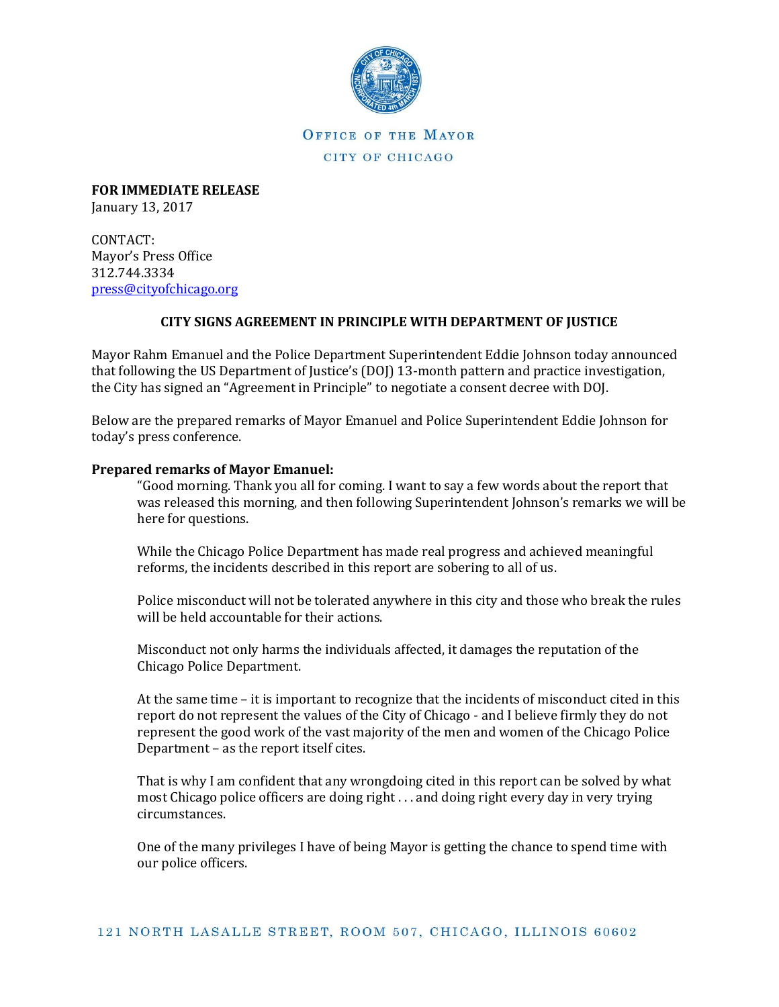

OFFICE OF THE MAYOR CITY OF CHICAGO

**FOR IMMEDIATE RELEASE** January 13, 2017

CONTACT: Mayor's Press Office 312.744.3334 [press@cityofchicago.org](mailto:press@cityofchicago.org)

## **CITY SIGNS AGREEMENT IN PRINCIPLE WITH DEPARTMENT OF JUSTICE**

Mayor Rahm Emanuel and the Police Department Superintendent Eddie Johnson today announced that following the US Department of Justice's (DOJ) 13-month pattern and practice investigation, the City has signed an "Agreement in Principle" to negotiate a consent decree with DOJ.

Below are the prepared remarks of Mayor Emanuel and Police Superintendent Eddie Johnson for today's press conference.

## **Prepared remarks of Mayor Emanuel:**

"Good morning. Thank you all for coming. I want to say a few words about the report that was released this morning, and then following Superintendent Johnson's remarks we will be here for questions.

While the Chicago Police Department has made real progress and achieved meaningful reforms, the incidents described in this report are sobering to all of us.

Police misconduct will not be tolerated anywhere in this city and those who break the rules will be held accountable for their actions.

Misconduct not only harms the individuals affected, it damages the reputation of the Chicago Police Department.

At the same time – it is important to recognize that the incidents of misconduct cited in this report do not represent the values of the City of Chicago - and I believe firmly they do not represent the good work of the vast majority of the men and women of the Chicago Police Department – as the report itself cites.

That is why I am confident that any wrongdoing cited in this report can be solved by what most Chicago police officers are doing right . . . and doing right every day in very trying circumstances.

One of the many privileges I have of being Mayor is getting the chance to spend time with our police officers.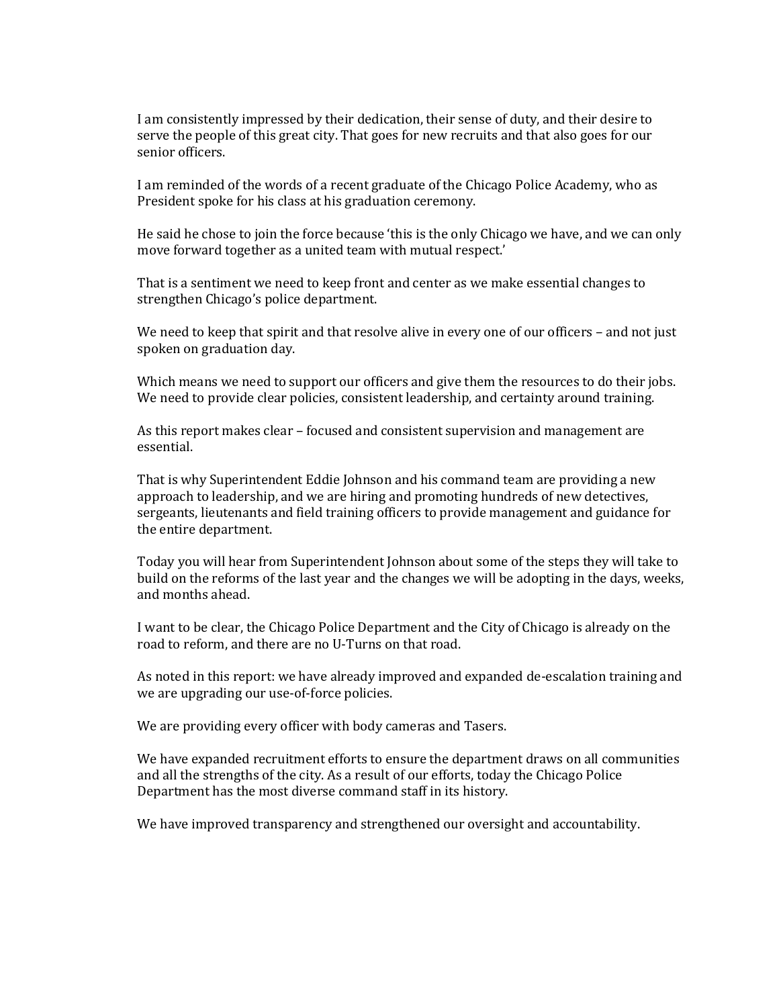I am consistently impressed by their dedication, their sense of duty, and their desire to serve the people of this great city. That goes for new recruits and that also goes for our senior officers.

I am reminded of the words of a recent graduate of the Chicago Police Academy, who as President spoke for his class at his graduation ceremony.

He said he chose to join the force because 'this is the only Chicago we have, and we can only move forward together as a united team with mutual respect.'

That is a sentiment we need to keep front and center as we make essential changes to strengthen Chicago's police department.

We need to keep that spirit and that resolve alive in every one of our officers – and not just spoken on graduation day.

Which means we need to support our officers and give them the resources to do their jobs. We need to provide clear policies, consistent leadership, and certainty around training.

As this report makes clear – focused and consistent supervision and management are essential.

That is why Superintendent Eddie Johnson and his command team are providing a new approach to leadership, and we are hiring and promoting hundreds of new detectives, sergeants, lieutenants and field training officers to provide management and guidance for the entire department.

Today you will hear from Superintendent Johnson about some of the steps they will take to build on the reforms of the last year and the changes we will be adopting in the days, weeks, and months ahead.

I want to be clear, the Chicago Police Department and the City of Chicago is already on the road to reform, and there are no U-Turns on that road.

As noted in this report: we have already improved and expanded de-escalation training and we are upgrading our use-of-force policies.

We are providing every officer with body cameras and Tasers.

We have expanded recruitment efforts to ensure the department draws on all communities and all the strengths of the city. As a result of our efforts, today the Chicago Police Department has the most diverse command staff in its history.

We have improved transparency and strengthened our oversight and accountability.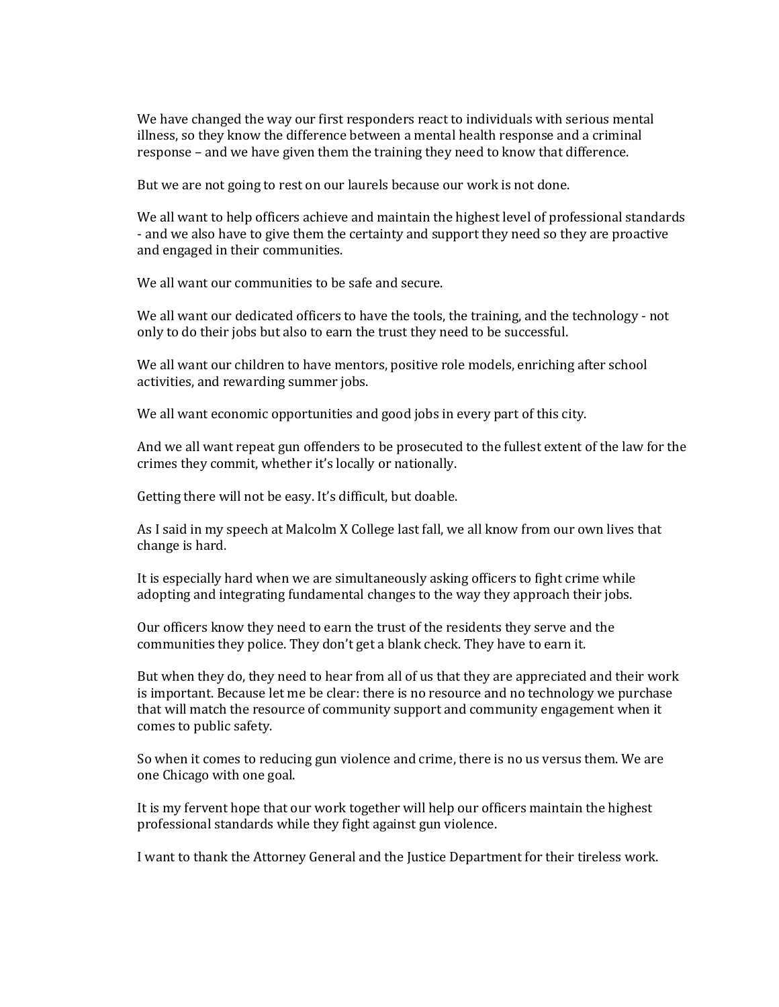We have changed the way our first responders react to individuals with serious mental illness, so they know the difference between a mental health response and a criminal response – and we have given them the training they need to know that difference.

But we are not going to rest on our laurels because our work is not done.

We all want to help officers achieve and maintain the highest level of professional standards - and we also have to give them the certainty and support they need so they are proactive and engaged in their communities.

We all want our communities to be safe and secure.

We all want our dedicated officers to have the tools, the training, and the technology - not only to do their jobs but also to earn the trust they need to be successful.

We all want our children to have mentors, positive role models, enriching after school activities, and rewarding summer jobs.

We all want economic opportunities and good jobs in every part of this city.

And we all want repeat gun offenders to be prosecuted to the fullest extent of the law for the crimes they commit, whether it's locally or nationally.

Getting there will not be easy. It's difficult, but doable.

As I said in my speech at Malcolm X College last fall, we all know from our own lives that change is hard.

It is especially hard when we are simultaneously asking officers to fight crime while adopting and integrating fundamental changes to the way they approach their jobs.

Our officers know they need to earn the trust of the residents they serve and the communities they police. They don't get a blank check. They have to earn it.

But when they do, they need to hear from all of us that they are appreciated and their work is important. Because let me be clear: there is no resource and no technology we purchase that will match the resource of community support and community engagement when it comes to public safety.

So when it comes to reducing gun violence and crime, there is no us versus them. We are one Chicago with one goal.

It is my fervent hope that our work together will help our officers maintain the highest professional standards while they fight against gun violence.

I want to thank the Attorney General and the Justice Department for their tireless work.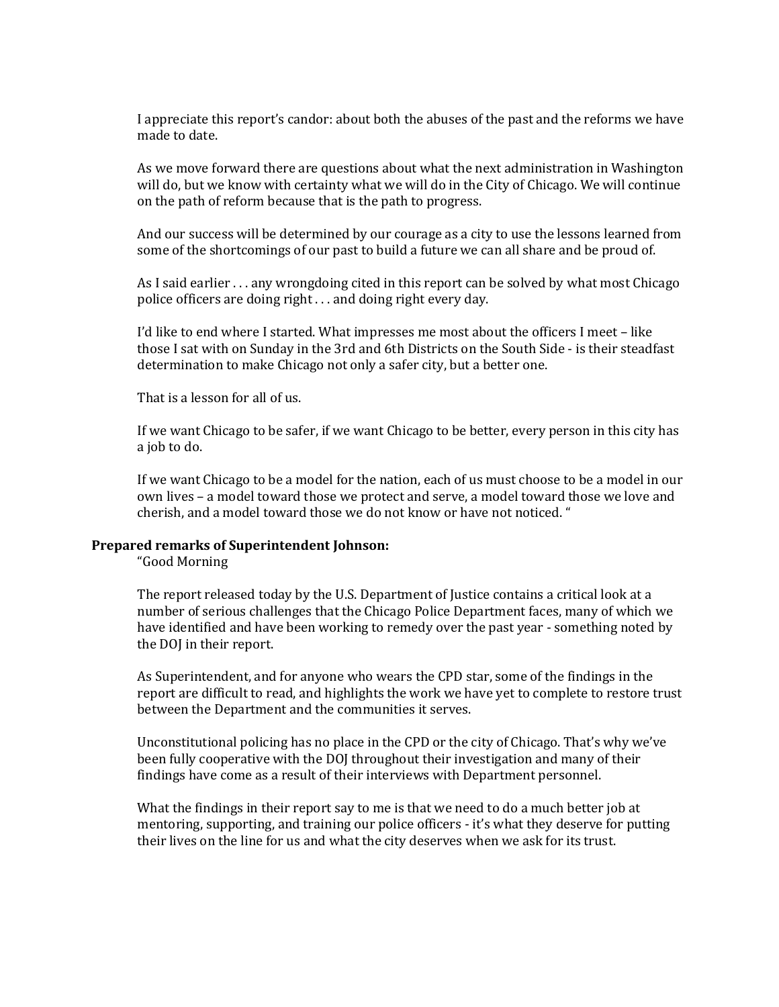I appreciate this report's candor: about both the abuses of the past and the reforms we have made to date.

As we move forward there are questions about what the next administration in Washington will do, but we know with certainty what we will do in the City of Chicago. We will continue on the path of reform because that is the path to progress.

And our success will be determined by our courage as a city to use the lessons learned from some of the shortcomings of our past to build a future we can all share and be proud of.

As I said earlier . . . any wrongdoing cited in this report can be solved by what most Chicago police officers are doing right . . . and doing right every day.

I'd like to end where I started. What impresses me most about the officers I meet – like those I sat with on Sunday in the 3rd and 6th Districts on the South Side - is their steadfast determination to make Chicago not only a safer city, but a better one.

That is a lesson for all of us.

If we want Chicago to be safer, if we want Chicago to be better, every person in this city has a job to do.

If we want Chicago to be a model for the nation, each of us must choose to be a model in our own lives – a model toward those we protect and serve, a model toward those we love and cherish, and a model toward those we do not know or have not noticed. "

## **Prepared remarks of Superintendent Johnson:**

"Good Morning

The report released today by the U.S. Department of Justice contains a critical look at a number of serious challenges that the Chicago Police Department faces, many of which we have identified and have been working to remedy over the past year - something noted by the DOJ in their report.

As Superintendent, and for anyone who wears the CPD star, some of the findings in the report are difficult to read, and highlights the work we have yet to complete to restore trust between the Department and the communities it serves.

Unconstitutional policing has no place in the CPD or the city of Chicago. That's why we've been fully cooperative with the DOJ throughout their investigation and many of their findings have come as a result of their interviews with Department personnel.

What the findings in their report say to me is that we need to do a much better job at mentoring, supporting, and training our police officers - it's what they deserve for putting their lives on the line for us and what the city deserves when we ask for its trust.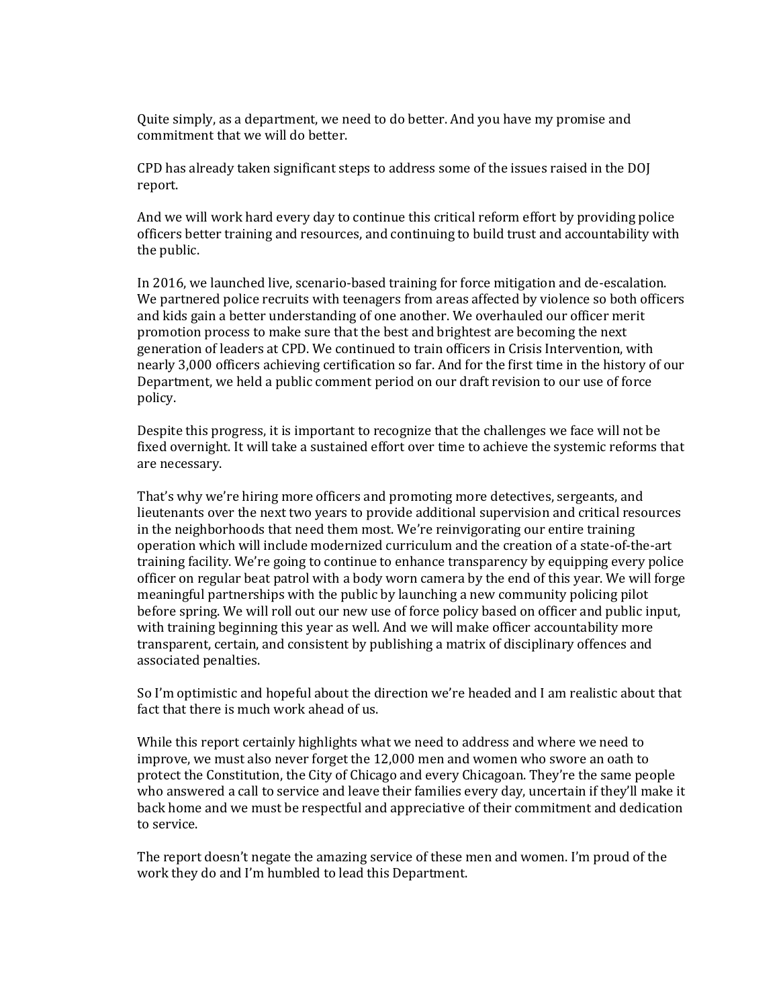Quite simply, as a department, we need to do better. And you have my promise and commitment that we will do better.

CPD has already taken significant steps to address some of the issues raised in the DOJ report.

And we will work hard every day to continue this critical reform effort by providing police officers better training and resources, and continuing to build trust and accountability with the public.

In 2016, we launched live, scenario-based training for force mitigation and de-escalation. We partnered police recruits with teenagers from areas affected by violence so both officers and kids gain a better understanding of one another. We overhauled our officer merit promotion process to make sure that the best and brightest are becoming the next generation of leaders at CPD. We continued to train officers in Crisis Intervention, with nearly 3,000 officers achieving certification so far. And for the first time in the history of our Department, we held a public comment period on our draft revision to our use of force policy.

Despite this progress, it is important to recognize that the challenges we face will not be fixed overnight. It will take a sustained effort over time to achieve the systemic reforms that are necessary.

That's why we're hiring more officers and promoting more detectives, sergeants, and lieutenants over the next two years to provide additional supervision and critical resources in the neighborhoods that need them most. We're reinvigorating our entire training operation which will include modernized curriculum and the creation of a state-of-the-art training facility. We're going to continue to enhance transparency by equipping every police officer on regular beat patrol with a body worn camera by the end of this year. We will forge meaningful partnerships with the public by launching a new community policing pilot before spring. We will roll out our new use of force policy based on officer and public input, with training beginning this year as well. And we will make officer accountability more transparent, certain, and consistent by publishing a matrix of disciplinary offences and associated penalties.

So I'm optimistic and hopeful about the direction we're headed and I am realistic about that fact that there is much work ahead of us.

While this report certainly highlights what we need to address and where we need to improve, we must also never forget the 12,000 men and women who swore an oath to protect the Constitution, the City of Chicago and every Chicagoan. They're the same people who answered a call to service and leave their families every day, uncertain if they'll make it back home and we must be respectful and appreciative of their commitment and dedication to service.

The report doesn't negate the amazing service of these men and women. I'm proud of the work they do and I'm humbled to lead this Department.